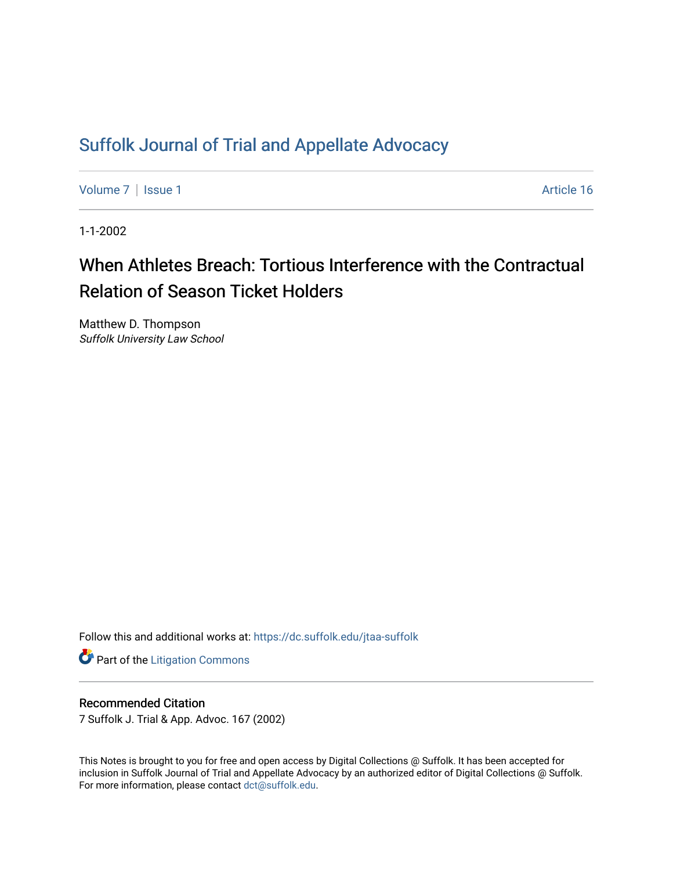## [Suffolk Journal of Trial and Appellate Advocacy](https://dc.suffolk.edu/jtaa-suffolk)

[Volume 7](https://dc.suffolk.edu/jtaa-suffolk/vol7) | [Issue 1](https://dc.suffolk.edu/jtaa-suffolk/vol7/iss1) Article 16

1-1-2002

# When Athletes Breach: Tortious Interference with the Contractual Relation of Season Ticket Holders

Matthew D. Thompson Suffolk University Law School

Follow this and additional works at: [https://dc.suffolk.edu/jtaa-suffolk](https://dc.suffolk.edu/jtaa-suffolk?utm_source=dc.suffolk.edu%2Fjtaa-suffolk%2Fvol7%2Fiss1%2F16&utm_medium=PDF&utm_campaign=PDFCoverPages) 

**Part of the [Litigation Commons](https://network.bepress.com/hgg/discipline/910?utm_source=dc.suffolk.edu%2Fjtaa-suffolk%2Fvol7%2Fiss1%2F16&utm_medium=PDF&utm_campaign=PDFCoverPages)** 

#### Recommended Citation

7 Suffolk J. Trial & App. Advoc. 167 (2002)

This Notes is brought to you for free and open access by Digital Collections @ Suffolk. It has been accepted for inclusion in Suffolk Journal of Trial and Appellate Advocacy by an authorized editor of Digital Collections @ Suffolk. For more information, please contact [dct@suffolk.edu](mailto:dct@suffolk.edu).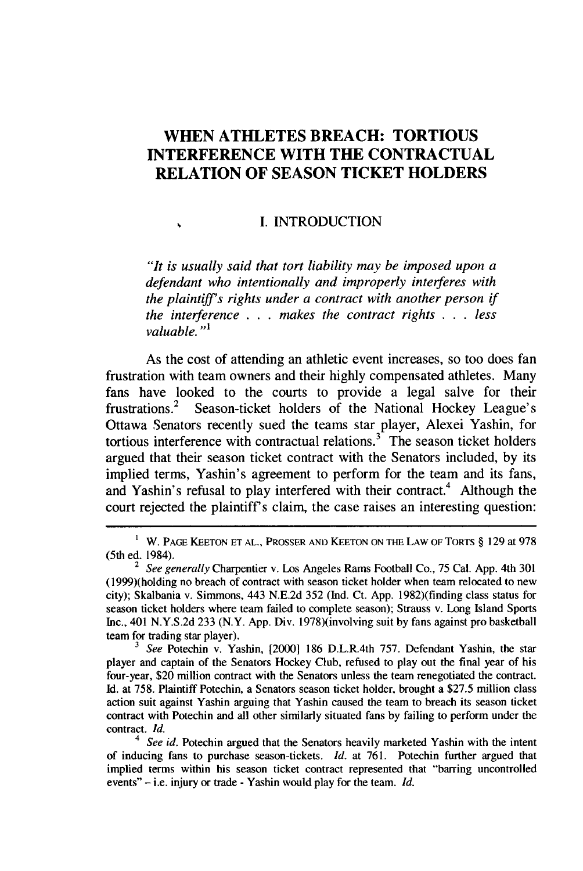### **WHEN ATHLETES BREACH: TORTIOUS INTERFERENCE WITH THE CONTRACTUAL RELATION OF SEASON TICKET HOLDERS**

#### **I. INTRODUCTION**

 $\mathbf{A}$ 

*"It is usually said that tort liability may be imposed upon a defendant who intentionally and improperly interferes with the plaintiff's rights under a contract with another person if the interference* . *.* **.** *makes the contract rights* . *.* . *less valuable. "'*

As the cost of attending an athletic event increases, so too does fan frustration with team owners and their **highly** compensated athletes. Many fans have looked to the courts to provide a legal salve for their frustrations.<sup>2</sup> Season-ticket holders of the National Hockey League's Ottawa Senators recently sued the teams star player, Alexei Yashin, for tortious interference with contractual relations. $3<sup>3</sup>$  The season ticket holders argued that their season ticket contract with the Senators included, **by** its implied terms, Yashin's agreement to perform for the team and its fans, and Yashin's refusal to play interfered with their contract.<sup>4</sup> Although the court rejected the plaintiff's claim, the case raises an interesting question:

**I** W. **PAGE KEETON ET AL., PROSSER AND KEETON ON THE LAW OF TORTS** § **129 at 978** (5th ed. 1984).

<sup>2</sup>*See generally* Charpentier v. Los Angeles Rams Football Co., **75** Cal. **App.** 4th **301** (1999)(holding no breach of contract with season ticket holder when team relocated to new city); Skalbania v. Simmons, 443 **N.E.2d 352 (Ind.** Ct. **App.** 1982)(finding class status for season ticket holders where team failed to complete season); Strauss v. Long Island Sports Inc., 401 **N.Y.S.2d 233** (N.Y. **App.** Div. 1978)(involving suit **by** fans against pro basketball team for trading star player).

**<sup>3</sup>** *See* Potechin v. Yashin, [2000] **186** D.L.R.4th **757.** Defendant Yashin, the star player and captain of the Senators Hockey Club, refused to play out the final year of his four-year, \$20 million contract with the Senators unless the team renegotiated the contract. **Id.** at **758.** Plaintiff Potechin, a Senators season ticket holder, brought a **\$27.5** million class action suit against Yashin arguing that Yashin caused the team to breach its season ticket contract with Potechin and all other similarly situated fans **by** failing to perform under the contract. *Id.*

**<sup>4</sup>***See id.* Potechin argued that the Senators heavily marketed Yashin with the intent of inducing fans to purchase season-tickets. *Id.* at **761.** Potechin further argued that implied terms within his season ticket contract represented that "barring uncontrolled events" **-** i.e. injury or trade **-** Yashin would play for the team. *Id.*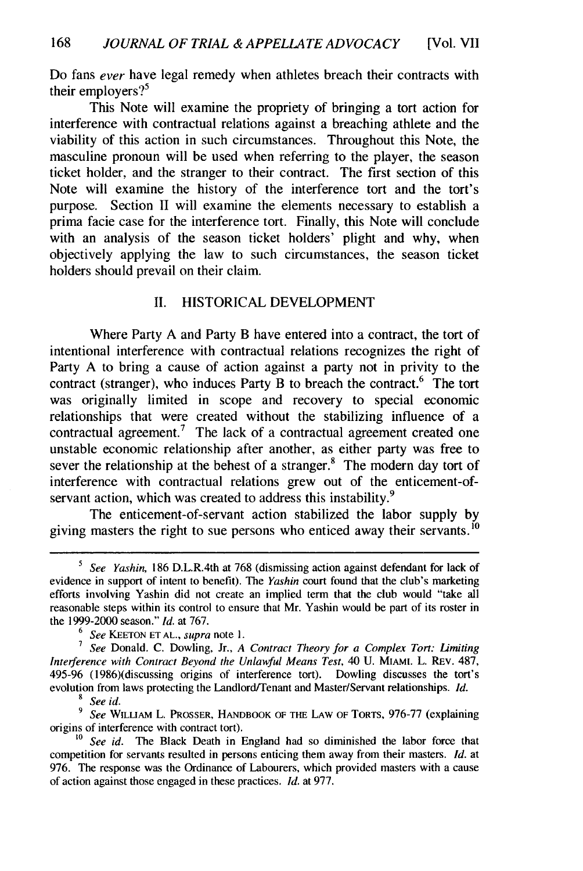Do fans ever have legal remedy when athletes breach their contracts with their employers? $5^5$ 

This Note will examine the propriety of bringing a tort action for interference with contractual relations against a breaching athlete and the viability of this action in such circumstances. Throughout this Note, the masculine pronoun will be used when referring to the player, the season ticket holder, and the stranger to their contract. The first section of this Note will examine the history of the interference tort and the tort's purpose. Section II will examine the elements necessary to establish a prima facie case for the interference tort. Finally, this Note will conclude with an analysis of the season ticket holders' plight and why, when objectively applying the law to such circumstances, the season ticket holders should prevail on their claim.

#### II. HISTORICAL DEVELOPMENT

Where Party A and Party B have entered into a contract, the tort of intentional interference with contractual relations recognizes the right of Party A to bring a cause of action against a party not in privity to the contract (stranger), who induces Party B to breach the contract.<sup>6</sup> The tort was originally limited in scope and recovery to special economic relationships that were created without the stabilizing influence of a contractual agreement.<sup>7</sup> The lack of a contractual agreement created one unstable economic relationship after another, as either party was free to sever the relationship at the behest of a stranger.<sup>8</sup> The modern day tort of interference with contractual relations grew out of the enticement-ofservant action, which was created to address this instability.<sup>9</sup>

The enticement-of-servant action stabilized the labor supply by giving masters the right to sue persons who enticed away their servants.<sup>10</sup>

*<sup>6</sup>See* KEETON **ET** AL., *supra* note 1.

*<sup>7</sup>See* Donald. C. Dowling, Jr., *A Contract Theory for a Complex Tort: Limiting Interference with Contract Beyond the Unlawful Means Test,* 40 U. MIAMI. L. REv. 487, 495-96 (1986)(discussing origins of interference tort). Dowling discusses the tort's evolution from laws protecting the Landlord/Tenant and Master/Servant relationships. *Id. 8 See id.*

*9 See* WILLIAM L. PROSSER, HANDBOOK OF THE LAW OF TORTS, 976-77 (explaining origins of interference with contract tort).

See id. The Black Death in England had so diminished the labor force that competition for servants resulted in persons enticing them away from their masters. *Id.* at 976. The response was the Ordinance of Labourers, which provided masters with a cause of action against those engaged in these practices. *Id.* at 977.

*<sup>5</sup>See Yashin,* **186** D.L.R.4th at 768 (dismissing action against defendant for lack of evidence in support of intent to benefit). The Yashin court found that the club's marketing efforts involving Yashin did not create an implied term that the club would "take all reasonable steps within its control to ensure that Mr. Yashin would be part of its roster in the 1999-2000 season." *Id.* at 767.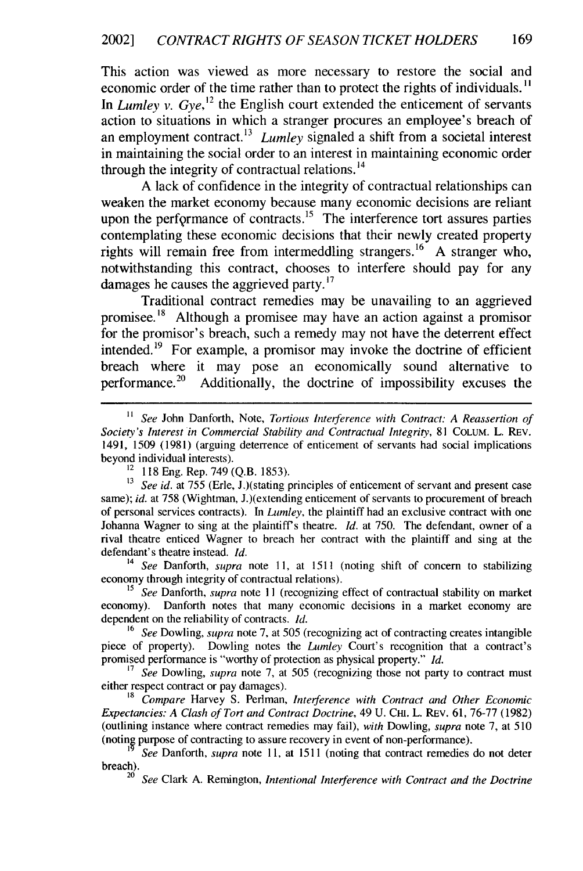This action was viewed as more necessary to restore the social and economic order of the time rather than to protect the rights of individuals. " In *Lumley v. Gye,*<sup>12</sup> the English court extended the enticement of servants action to situations in which a stranger procures an employee's breach of an employment contract.<sup>13</sup> Lumley signaled a shift from a societal interest in maintaining the social order to an interest in maintaining economic order through the integrity of contractual relations.<sup>14</sup>

A lack of confidence in the integrity of contractual relationships can weaken the market economy because many economic decisions are reliant upon the performance of contracts.<sup>15</sup> The interference tort assures parties contemplating these economic decisions that their newly created property rights will remain free from intermeddling strangers.<sup>16</sup> A stranger who, notwithstanding this contract, chooses to interfere should pay for any damages he causes the aggrieved party.<sup>17</sup>

Traditional contract remedies may be unavailing to an aggrieved promisee.<sup>18</sup> Although a promisee may have an action against a promisor for the promisor's breach, such a remedy may not have the deterrent effect intended.<sup>19</sup> For example, a promisor may invoke the doctrine of efficient breach where it may pose an economically sound alternative to performance.<sup>20</sup> Additionally, the doctrine of impossibility excuses the

*<sup>14</sup>See* Danforth, *supra* note 11, at 1511 (noting shift of concern to stabilizing economy through integrity of contractual relations).

<sup>15</sup> See Danforth, *supra* note 11 (recognizing effect of contractual stability on market economy). Danforth notes that many economic decisions in a market economy are dependent on the reliability of contracts. *Id.*

**<sup>16</sup>***See* Dowling, *supra* note 7, at 505 (recognizing act of contracting creates intangible piece of property). Dowling notes the *Lumley* Court's recognition that a contract's promised performance is "worthy of protection as physical property." *Id.*

<sup>17</sup> See Dowling, *supra* note 7, at 505 (recognizing those not party to contract must either respect contract or pay damages).

<sup>18</sup>*Compare* Harvey S. Perlman, *Interference with Contract and Other Economic Expectancies: A Clash of Tort and Contract Doctrine,* 49 U. CHI. L. REV. 61, 76-77 (1982) (outlining instance where contract remedies may fail), *with* Dowling, *supra* note 7, at 510 (noting purpose of contracting to assure recovery in event of non-performance).

*See* Danforth, *supra* note **11,** at 1511 (noting that contract remedies do not deter breach).

20 *See* Clark A. Remington, *Intentional Interference with Contract and the Doctrine*

*<sup>11</sup> See* John Danforth, Note, *Tortious Interference with Contract: A Reassertion of Society's Interest in Commercial Stability and Contractual Integrity,* 81 COLUM. L. REV. 1491, 1509 (1981) (arguing deterrence of enticement of servants had social implications beyond individual interests).

<sup>&</sup>lt;sup>12</sup> 118 Eng. Rep. 749 (Q.B. 1853).

<sup>&</sup>lt;sup>13</sup> *See id.* at 755 (Erle, J.)(stating principles of enticement of servant and present case same); *id.* at 758 (Wightman, J.)(extending enticement of servants to procurement of breach of personal services contracts). In *Lumley,* the plaintiff had an exclusive contract with one Johanna Wagner to sing at the plaintiffs theatre. *Id.* at 750. The defendant, owner of a rival theatre enticed Wagner to breach her contract with the plaintiff and sing at the defendant's theatre instead. *Id.*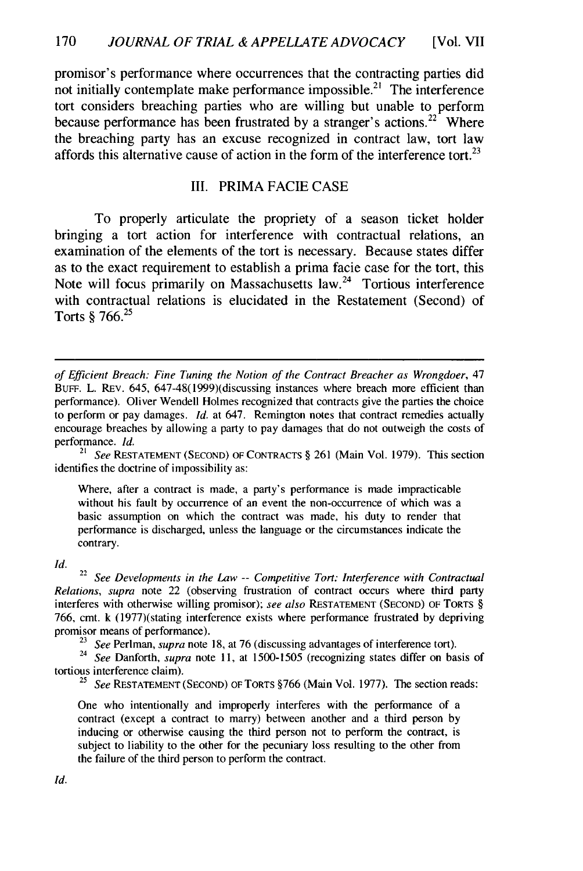promisor's performance where occurrences that the contracting parties did not initially contemplate make performance impossible.<sup>21</sup> The interference tort considers breaching parties who are willing but unable to perform because performance has been frustrated **by** a stranger's actions.22 Where the breaching party has an excuse recognized in contract law, tort law affords this alternative cause of action in the form of the interference tort.<sup>23</sup>

#### **III.** PRIMA **FACIE CASE**

To properly articulate the propriety of a season ticket holder bringing a tort action for interference with contractual relations, an examination of the elements of the tort is necessary. Because states differ as to the exact requirement to establish a prima facie case for the tort, this Note will focus primarily on Massachusetts law. $24$  Tortious interference with contractual relations is elucidated in the Restatement (Second) of Torts **§ 766.25**

<sup>21</sup> See RESTATEMENT (SECOND) OF CONTRACTS § 261 (Main Vol. 1979). This section identifies the doctrine of impossibility as:

Where, after a contract is made, a party's performance is made impracticable without his fault by occurrence of an event the non-occurrence of which was a basic assumption on which the contract was made, his duty to render that performance is discharged, unless the language or the circumstances indicate the contrary.

Id.

<sup>22</sup> See Developments in the Law -- Competitive Tort: Interference with Contractual Relations, supra note 22 (observing frustration of contract occurs where third party interferes with otherwise willing promisor); see *also* RESTATEMENT **(SECOND)** OF TORTS § 766, cmt. k (1977)(stating interference exists where performance frustrated by depriving promisor means of performance).

<sup>23</sup> See Perlman, *supra* note 18, at 76 (discussing advantages of interference tort).<br><sup>24</sup> See Danforth, *supra* note 11, at 1500-1505 (recognizing states differ on basis of tortious interference claim).

<sup>25</sup> See RESTATEMENT (SECOND) OF TORTS  $$766$  (Main Vol. 1977). The section reads:

One who intentionally and improperly interferes with the performance of a contract (except a contract to marry) between another and a third person by inducing or otherwise causing the third person not to perform the contract, is subject to liability to the other for the pecuniary loss resulting to the other from the failure of the third person to perform the contract.

of Efficient Breach: Fine Tuning the Notion of the Contract Breacher as Wrongdoer, 47 BurF. L. REv. 645, 647-48(1999)(discussing instances where breach more efficient than performance). Oliver Wendell Holmes recognized that contracts give the parties the choice to perform or pay damages. *Id.* at 647. Remington notes that contract remedies actually encourage breaches by allowing a party to pay damages that do not outweigh the costs of performance. *Id.*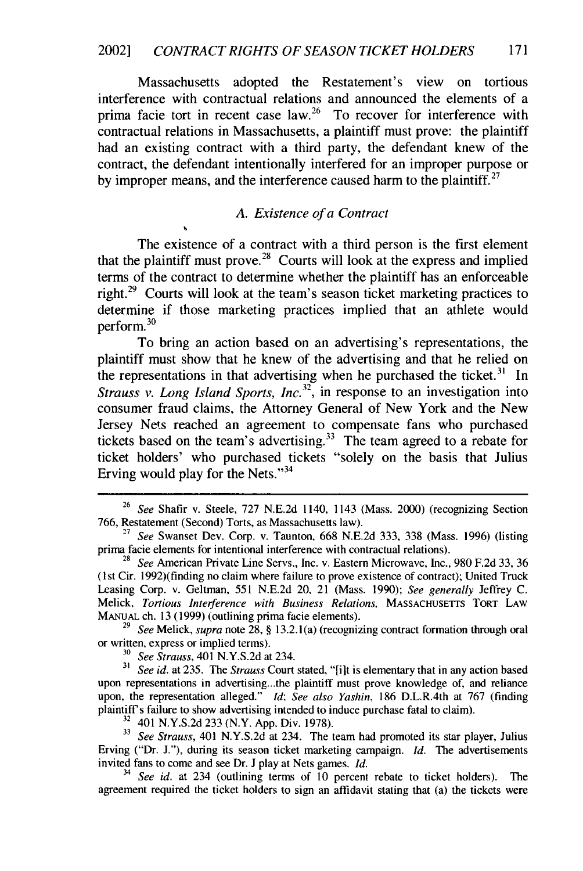Massachusetts adopted the Restatement's view on tortious interference with contractual relations and announced the elements of a prima facie tort in recent case  $law<sup>26</sup>$  To recover for interference with contractual relations in Massachusetts, a plaintiff must prove: the plaintiff had an existing contract with a third party, the defendant knew of the contract, the defendant intentionally interfered for an improper purpose or by improper means, and the interference caused harm to the plaintiff.<sup>27</sup>

#### *A. Existence of a Contract*

The existence of a contract with a third person is the first element that the plaintiff must prove.<sup>28</sup> Courts will look at the express and implied terms of the contract to determine whether the plaintiff has an enforceable right.<sup>29</sup> Courts will look at the team's season ticket marketing practices to determine if those marketing practices implied that an athlete would  $perform.^{30}$ 

To bring an action based on an advertising's representations, the plaintiff must show that he knew of the advertising and that he relied on the representations in that advertising when he purchased the ticket.<sup>31</sup> In *Strauss v. Long Island Sports, Inc.*<sup>32</sup>, in response to an investigation into consumer fraud claims, the Attorney General of New York and the New Jersey Nets reached an agreement to compensate fans who purchased tickets based on the team's advertising.<sup>33</sup> The team agreed to a rebate for ticket holders' who purchased tickets "solely on the basis that Julius Erving would play for the Nets." $34$ 

**<sup>29</sup>***See* Melick, *supra* note **28, § 13.2. 1** (a) (recognizing contract formation through oral or written, express or implied terms).

**<sup>30</sup>***See Strauss,* 401 **N.Y.S.2d** at 234.

*3 See id.* at **235.** The *Strauss* Court stated, "[iut is elementary that in any action based upon representations in advertising.. .the plaintiff must prove knowledge of, and reliance upon, the representation alleged." *Id; See also Yashin,* **186** D.L.R.4th at **767** (finding **plaintiff's** failure to show advertising intended to induce purchase fatal to claim).

**<sup>32</sup>**401 **N.Y.S.2d 233** (N.Y. **App.** Div. **1978).**

**<sup>33</sup>***See Strauss,* 401 **N.Y.S.2d** at 234. The team had promoted its star player, Julius Erving ("Dr. **J."),** during its season ticket marketing campaign. *Id.* The advertisements invited fans to come and see Dr. **J** play at Nets games. *Id.*

**34** *See id.* at 234 (outlining terms of **10** percent rebate to ticket holders). The agreement required the ticket holders to sign an affidavit stating that (a) the tickets were

**<sup>26</sup>***See* Shafir v. Steele, **727 N.E.2d** 1140, 1143 (Mass. 2000) (recognizing Section **766,** Restatement (Second) Torts, as Massachusetts law).

**<sup>27</sup>***See* Swanset Dev. Corp. v. Taunton, **668 N.E.2d 333, 338** (Mass. **1996)** (listing prima facie elements for intentional interference with contractual relations).

**<sup>28</sup>***See* American Private Line Servs., Inc. v. Eastern Microwave, Inc., **980 F.2d 33, 36** (1st Cir. 1992)(finding no claim where failure **to** prove existence of contract); United Truck Leasing Corp. v. Geltman, **551 N.E.2d** 20, 21 (Mass. **1990);** *See generally* Jeffrey **C.** Melick, *Tortious Interference with Business Relations,* MASSACHUSETTS TORT LAW **MANuAL** ch. **13 (1999)** (outlining prima facie elements).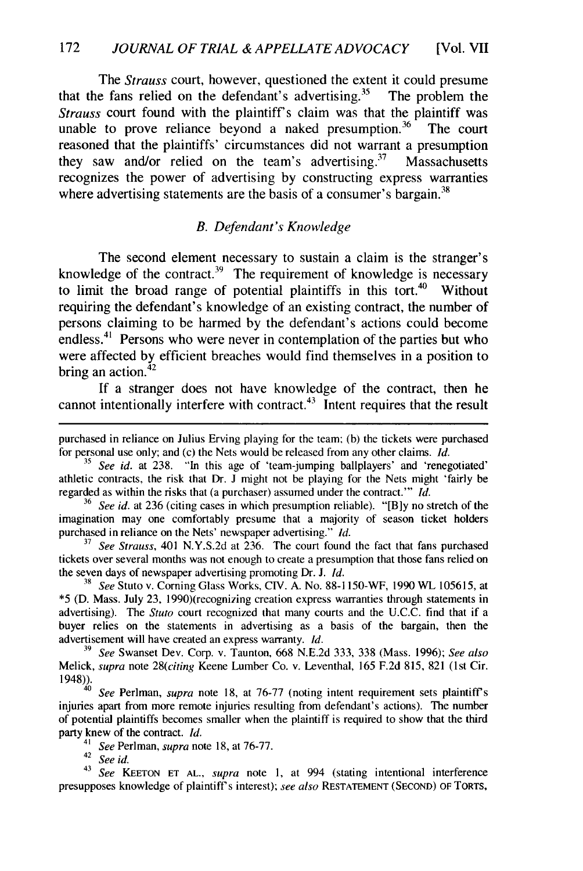The *Strauss* court, however, questioned the extent it could presume that the fans relied on the defendant's advertising.<sup>35</sup> The problem the *Strauss* court found with the plaintiff's claim was that the plaintiff was unable to prove reliance beyond a naked presumption.<sup>36</sup> The court reasoned that the plaintiffs' circumstances did not warrant a presumption they saw and/or relied on the team's advertising. $37$  Massachusetts recognizes the power of advertising by constructing express warranties where advertising statements are the basis of a consumer's bargain.<sup>38</sup>

#### *B. Defendant's Knowledge*

The second element necessary to sustain a claim is the stranger's knowledge of the contract.<sup>39</sup> The requirement of knowledge is necessary to limit the broad range of potential plaintiffs in this tort.<sup>40</sup> Without requiring the defendant's knowledge of an existing contract, the number of persons claiming to be harmed by the defendant's actions could become endless.<sup>41</sup> Persons who were never in contemplation of the parties but who were affected by efficient breaches would find themselves in a position to bring an action. $42$ 

If a stranger does not have knowledge of the contract, then he cannot intentionally interfere with contract.<sup>43</sup> Intent requires that the result

<sup>42</sup>*See id.*

<sup>43</sup>*See* **KEETON ET AL.,** *supra* note **1,** at 994 (stating intentional interference presupposes knowledge of plaintiff's interest); see *also* RESTATEMENT (SECOND) OF TORTS,

purchased in reliance on Julius Erving playing for the team: (b) the tickets were purchased for personal use only; and (c) the Nets would be released from any other claims. *Id.*

*<sup>35</sup>See id.* at 238. "In this age of 'team-jumping ballplayers' and 'renegotiated' athletic contracts, the risk that Dr. **J** might not be playing for the Nets might 'fairly be regarded as within the risks that (a purchaser) assumed under the contract."' *Id.*

**<sup>36</sup>***See id.* at 236 (citing cases in which presumption reliable). "[B]y no stretch of the imagination may one comfortably presume that a majority of season ticket holders purchased in reliance on the Nets' newspaper advertising." *Id.*

**<sup>37</sup>***See Strauss,* 401 N.Y.S.2d at 236. The court found the fact that fans purchased tickets over several months was not enough to create a presumption that those fans relied on the seven days of newspaper advertising promoting Dr. J. *Id.*

*<sup>38</sup>See* Stuto v. Corning Glass Works, CIV. A. No. 88-I 150-WF, 1990 WL 105615, at \*5 (D. Mass. July **23,** 1990)(recognizing creation express warranties through statements in advertising). The *Stuto* court recognized that many courts and the U.C.C. find that if a buyer relies on the statements in advertising as a basis of the bargain, then the advertisement will have created an express warranty. *Id.*

**<sup>39</sup>***See* Swanset Dev. Corp. v. Taunton, 668 N.E.2d 333, 338 (Mass. 1996); *See also* Melick, *supra* note *<sup>2</sup> 8(citing* Keene Lumber Co. v. Leventhal, 165 F.2d 815, 821 (1st Cir. 1948)). *<sup>40</sup>See* Perlman, *supra* note 18, at 76-77 (noting intent requirement sets plaintiffs

injuries apart from more remote injuries resulting from defendant's actions). The number of potential plaintiffs becomes smaller when the plaintiff is required to show that the third party knew of the contract. *Id.*

<sup>41</sup>*See* Perlman, *supra* note 18, at 76-77.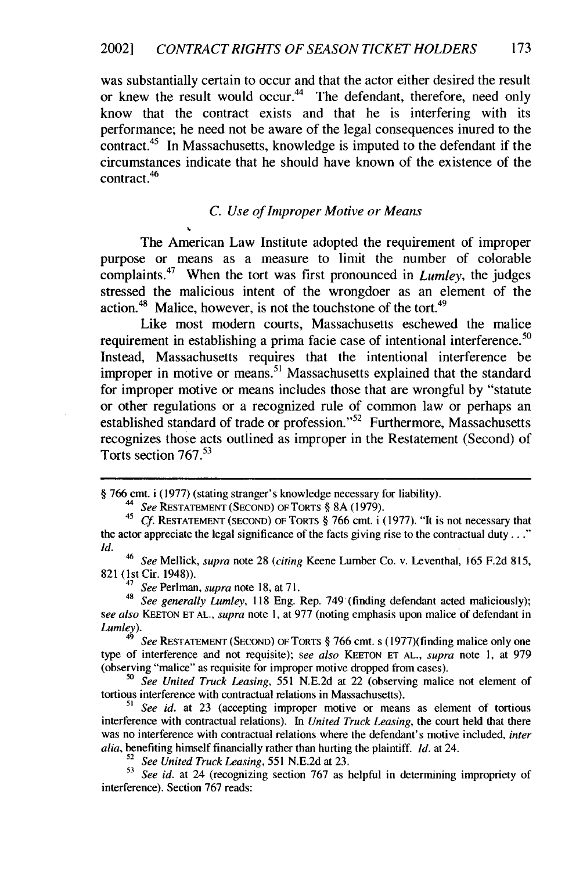was substantially certain to occur and that the actor either desired the result or knew the result would occur.<sup>44</sup> The defendant, therefore, need only know that the contract exists and that he is interfering with its performance; he need not be aware of the legal consequences inured to the contract.<sup>45</sup> In Massachusetts, knowledge is imputed to the defendant if the circumstances indicate that he should have known of the existence of the contract.46

#### *C. Use of Improper Motive or* Means

The American Law Institute adopted the requirement of improper purpose or means as a measure to limit the number of colorable complaints.47 When the tort was first pronounced in *Lumley,* the judges stressed the malicious intent of the wrongdoer as an element of the action.48 Malice, however, is not the touchstone of the **tort.<sup>49</sup>**

Like most modern courts, Massachusetts eschewed the malice requirement in establishing a prima facie case of intentional interference.<sup>50</sup> Instead, Massachusetts requires that the intentional interference be improper in motive or means.<sup>51</sup> Massachusetts explained that the standard for improper motive or means includes those that are wrongful by "statute or other regulations or a recognized rule of common law or perhaps an established standard of trade or profession."<sup>52</sup> Furthermore, Massachusetts recognizes those acts outlined as improper in the Restatement (Second) of Torts section 767. <sup>53</sup>

<sup>§</sup> 766 cmt. i (1977) (stating stranger's knowledge necessary for liability).

<sup>&</sup>lt;sup>44</sup> See RESTATEMENT (SECOND) OF TORTS § 8A (1979).<br><sup>45</sup> Cf. RESTATEMENT (SECOND) OF TORTS § 766 cmt. i (1977). "It is not necessary that the actor appreciate the legal significance of the facts giving rise to the contractual duty..." *Id.*

<sup>&</sup>lt;sup>46</sup> See Mellick, supra note 28 *(citing Keene Lumber Co. v. Leventhal, 165 F.2d 815,* 821 (lst Cir. 1948)).

<sup>47</sup>*See* Perlman, *supra* note 18, at 71.

<sup>48</sup>*See generally Lumley,* 118 Eng. Rep. 749 (finding defendant acted maliciously); *see also* **KEETON ET AL,** *supra* note I, at 977 (noting emphasis upon malice of defendant in Lumley).

<sup>49</sup>*See* **RESTATEMENT (SECOND)** OF TORTS § 766 cmt. s (1977)(finding malice only one type of interference and not requisite); *see also* **KEETON ET AL.,** *supra* note 1, at 979 (observing "malice" as requisite for improper motive dropped from cases).

*<sup>50</sup>See United Truck Leasing,* 551 N.E.2d at 22 (observing malice not element of tortious interference with contractual relations in Massachusetts).

*<sup>51</sup> See id.* at 23 (accepting improper motive or means as element of tortious interference with contractual relations). In *United Truck Leasing,* the court held that there was no interference with contractual relations where the defendant's motive included, *inter alia,* benefiting hinrself financially rather than hurting the plaintiff. *Id.* at 24.

**<sup>52</sup>***See United Truck Leasing,* 551 N.E.2d at 23.

*<sup>53</sup>See id.* at 24 (recognizing section 767 as helpful in determining impropriety of interference). Section 767 reads: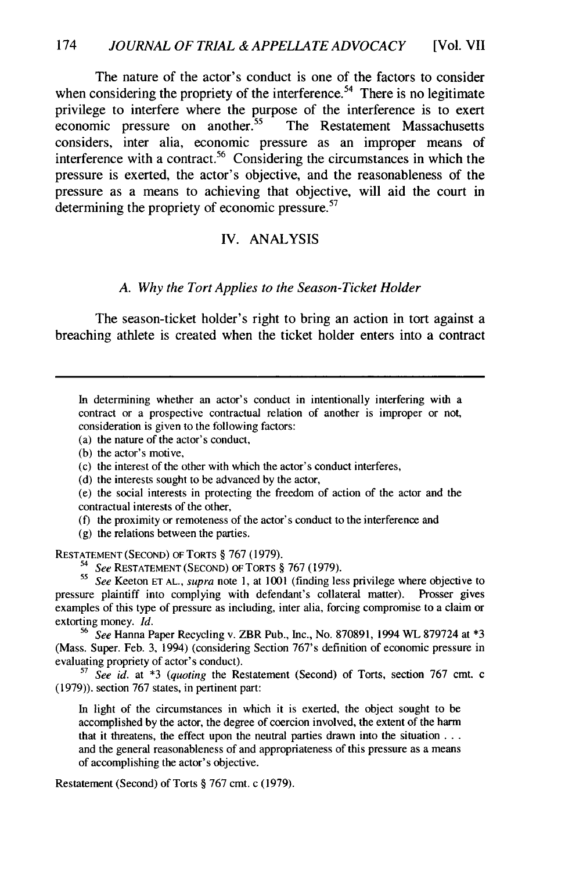The nature of the actor's conduct is one of the factors to consider when considering the propriety of the interference.<sup>54</sup> There is no legitimate privilege to interfere where the purpose of the interference is to exert economic pressure on another.<sup>55</sup> The Restatement Massachusetts considers, inter alia, economic pressure as an improper means of interference with a contract.<sup>56</sup> Considering the circumstances in which the pressure is exerted, the actor's objective, and the reasonableness of the pressure as a means to achieving that objective, will aid the court in determining the propriety of economic pressure.<sup>57</sup>

#### IV. ANALYSIS

#### *A. Why the Tort Applies to the Season-Ticket Holder*

The season-ticket holder's right to bring an action in tort against a breaching athlete is created when the ticket holder enters into a contract

In determining whether an actor's conduct in intentionally interfering with a contract or a prospective contractual relation of another is improper or not, consideration is given to the following factors:

(a) the nature of the actor's conduct,

(b) the actor's motive,

(c) the interest of the other with which the actor's conduct interferes,

(d) the interests sought to be advanced by the actor,

(e) the social interests in protecting the freedom of action of the actor and the contractual interests of the other,

(f) the proximity or remoteness of the actor's conduct to the interference and

(g) the relations between the parties.

**RESTATEMENT (SECOND)** OF TORTS § 767 (1979).

*<sup>54</sup>See* **RESTATEMENT (SECOND) OF** TORTS § 767 (1979). *<sup>55</sup>See* Keeton **ET AL.,** *supra* note **1,** at 1001 (finding less privilege where objective to pressure plaintiff into complying with defendant's collateral matter). Prosser gives examples of this type of pressure as including, inter alia, forcing compromise to a claim or extorting money. *Id.*

*<sup>56</sup>See* Hanna Paper Recycling v. ZBR Pub., Inc., No. 870891, 1994 WL 879724 at \*3 (Mass. Super. Feb. 3, 1994) (considering Section 767's definition of economic pressure in evaluating propriety of actor's conduct).

**<sup>57</sup>***See id.* at \*3 *(quoting* the Restatement (Second) of Torts, section 767 cmt. c (1979)). section 767 states, in pertinent part:

In light of the circumstances in which it is exerted, the object sought to be accomplished by the actor, the degree of coercion involved, the extent of the harm that it threatens, the effect upon the neutral parties drawn into the situation **...** and the general reasonableness of and appropriateness of this pressure as a means of accomplishing the actor's objective.

Restatement (Second) of Torts § 767 cmt. c (1979).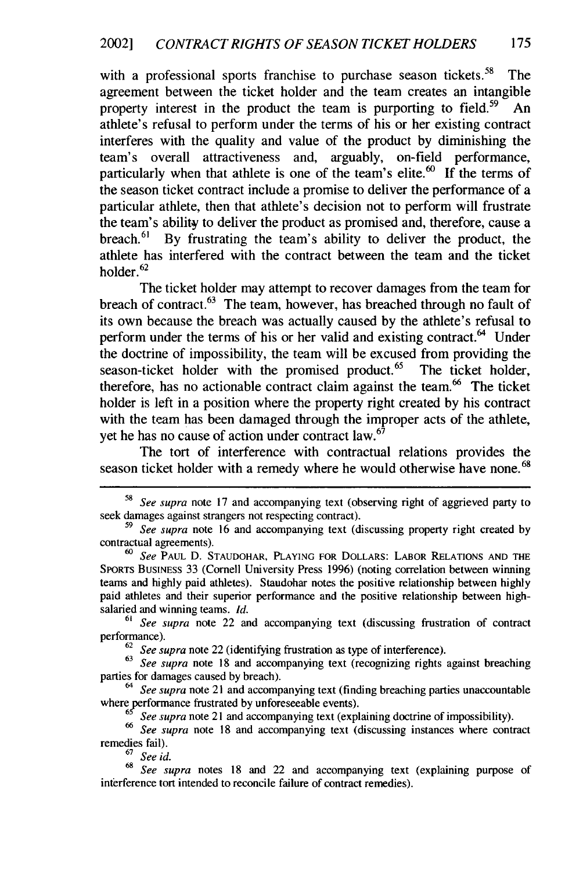with a professional sports franchise to purchase season tickets.<sup>58</sup> The agreement between the ticket holder and the team creates an intangible property interest in the product the team is purporting to field.<sup>59</sup> An athlete's refusal to perform under the terms of his or her existing contract interferes with the quality and value of the product by diminishing the team's overall attractiveness and, arguably, on-field performance, particularly when that athlete is one of the team's elite. $60$  If the terms of the season ticket contract include a promise to deliver the performance of a particular athlete, then that athlete's decision not to perform will frustrate the team's ability to deliver the product as promised and, therefore, cause a breach.<sup>61</sup> By frustrating the team's ability to deliver the product, the athlete has interfered with the contract between the team and the ticket holder. $62$ 

The ticket holder may attempt to recover damages from the team for breach of contract. $63$  The team, however, has breached through no fault of its own because the breach was actually caused by the athlete's refusal to perform under the terms of his or her valid and existing contract. $^{64}$  Under the doctrine of impossibility, the team will be excused from providing the season-ticket holder with the promised product.<sup>65</sup> The ticket holder, therefore, has no actionable contract claim against the team.<sup>66</sup> The ticket holder is left in a position where the property right created by his contract with the team has been damaged through the improper acts of the athlete, yet he has no cause of action under contract law.<sup>67</sup>

The tort of interference with contractual relations provides the season ticket holder with a remedy where he would otherwise have none.<sup>68</sup>

**<sup>58</sup>***See supra* note 17 and accompanying text (observing right of aggrieved party to seek damages against strangers not respecting contract).

*<sup>59</sup>See supra* note 16 and accompanying text (discussing property right created by contractual agreements).

*<sup>60</sup>See* PAUL D. STAUDOHAR, PLAYING FOR DOLLARS: LABOR RELATIONS AND THE SPORTS BUSINESS 33 (Cornell University Press 1996) (noting correlation between winning teams and highly paid athletes). Staudohar notes the positive relationship between highly paid athletes and their superior performance and the positive relationship between highsalaried and winning teams. *Id.*

*<sup>61</sup>See supra* note 22 and accompanying text (discussing frustration of contract performance).

<sup>62</sup>*See supra* note 22 (identifying frustration as type of interference).

<sup>&</sup>lt;sup>63</sup> See supra note 18 and accompanying text (recognizing rights against breaching parties for damages caused by breach).

*<sup>64</sup>See supra* note 21 and accompanying text (finding breaching parties unaccountable where performance frustrated by unforeseeable events).

*See supra* note 21 and accompanying text (explaining doctrine of impossibility).

*<sup>66</sup>See supra* note 18 and accompanying text (discussing instances where contract remedies fail).

<sup>67</sup>*See id.*

*<sup>68</sup>See supra* notes 18 and 22 and accompanying text (explaining purpose of interference tort intended to reconcile failure of contract remedies).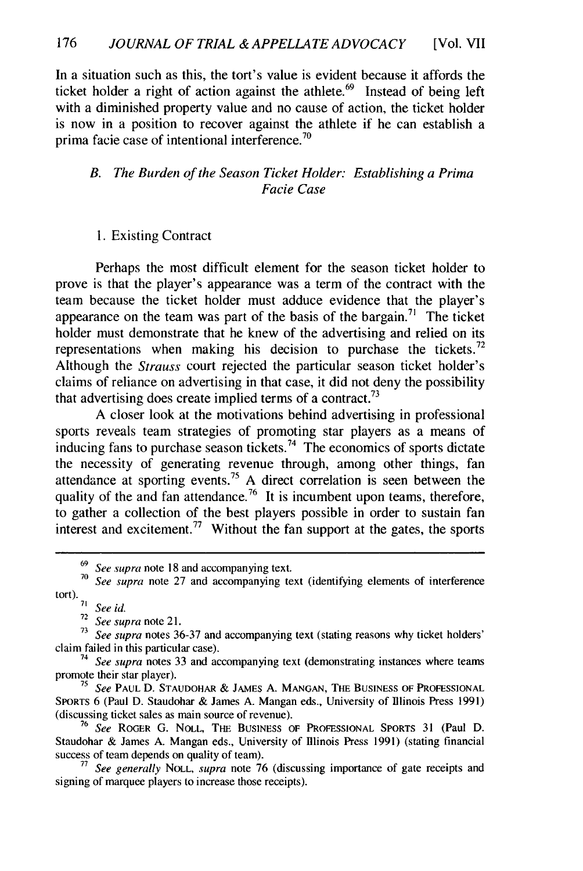In a situation such as this, the tort's value is evident because it affords the ticket holder a right of action against the athlete.<sup>69</sup> Instead of being left with a diminished property value and no cause of action, the ticket holder is now in a position to recover against the athlete if he can establish a prima facie case of intentional interference.<sup>70</sup>

#### *B. The Burden of the Season Ticket Holder: Establishing a Prima Facie Case*

#### 1. Existing Contract

Perhaps the most difficult element for the season ticket holder to prove is that the player's appearance was a term of the contract with the team because the ticket holder must adduce evidence that the player's appearance on the team was part of the basis of the bargain.<sup>71</sup> The ticket holder must demonstrate that he knew of the advertising and relied on its representations when making his decision to purchase the tickets.<sup>72</sup> Although the *Strauss* court rejected the particular season ticket holder's claims of reliance on advertising in that case, it did not deny the possibility that advertising does create implied terms of a contract.<sup>73</sup>

A closer look at the motivations behind advertising in professional sports reveals team strategies of promoting star players as a means of inducing fans to purchase season tickets.<sup>74</sup> The economics of sports dictate the necessity of generating revenue through, among other things, fan attendance at sporting events.<sup>75</sup> A direct correlation is seen between the quality of the and fan attendance.<sup>76</sup> It is incumbent upon teams, therefore, to gather a collection of the best players possible in order to sustain fan interest and excitement.<sup>77</sup> Without the fan support at the gates, the sports

**72** *See supra* note 21.

**<sup>69</sup>***See supra* note 18 and accompanying text.

<sup>&</sup>lt;sup>70</sup> See supra note 27 and accompanying text (identifying elements of interference tort). *<sup>71</sup>See id.*

<sup>&</sup>lt;sup>73</sup> *See supra* notes 36-37 and accompanying text (stating reasons why ticket holders' claim failed in this particular case).

<sup>&</sup>lt;sup>74</sup> See supra notes 33 and accompanying text (demonstrating instances where teams promote their star player).

**<sup>75</sup>***See* PAUL D. STAUDOHAR & JAMES A. MANGAN, THE **BUSINESS** OF **PROFESSIONAL** SPORTS 6 (Paul D. Staudohar & James A. Mangan eds., University of Illinois Press 1991) (discussing ticket sales as main source of revenue).

**<sup>76</sup>***See* ROGER **G. NOLL,** THE BUSINESS OF **PROFESSIONAL** SPORTS 31 (Paul D. Staudohar & James A. Mangan eds., University of Illinois Press 1991) (stating financial success of team depends on quality of team).

**<sup>77</sup>***See generally* NOLL, *supra* note 76 (discussing importance of gate receipts and signing of marquee players to increase those receipts).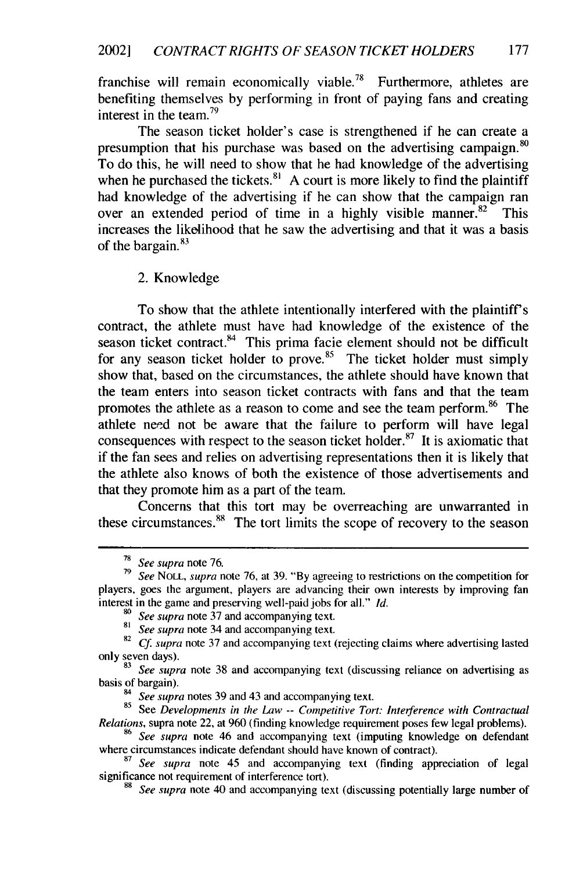franchise will remain economically viable.<sup>78</sup> Furthermore, athletes are benefiting themselves by performing in front of paying fans and creating interest in the team.<sup>79</sup>

The season ticket holder's case is strengthened if he can create a presumption that his purchase was based on the advertising campaign. <sup>80</sup> To do this, he will need to show that he had knowledge of the advertising when he purchased the tickets.<sup>81</sup> A court is more likely to find the plaintiff had knowledge of the advertising if he can show that the campaign ran over an extended period of time in a highly visible manner.  $82$  This increases the likelihood that he saw the advertising and that it was a basis of the bargain. $83$ 

2. Knowledge

To show that the athlete intentionally interfered with the plaintiff's contract, the athlete must have had knowledge of the existence of the season ticket contract.<sup>84</sup> This prima facie element should not be difficult for any season ticket holder to prove.<sup>85</sup> The ticket holder must simply show that, based on the circumstances, the athlete should have known that the team enters into season ticket contracts with fans and that the team promotes the athlete as a reason to come and see the team perform.<sup>86</sup> The athlete need not be aware that the failure to perform will have legal consequences with respect to the season ticket holder.<sup>87</sup> It is axiomatic that if the fan sees and relies on advertising representations then it is likely that the athlete also knows of both the existence of those advertisements and that they promote him as a part of the team.

Concerns that this tort may be overreaching are unwarranted in these circumstances. $88$  The tort limits the scope of recovery to the season

<sup>78</sup> *See supra* note 76.

**<sup>79</sup>***See* NOLL, *supra* note 76, at 39. "By agreeing to restrictions on the competition for players, goes the argument, players are advancing their own interests by improving fan interest in the game and preserving well-paid jobs for all." *Id.*

<sup>&</sup>lt;sup>80</sup> *See supra* note 37 and accompanying text.<br><sup>81</sup> *See supra* note 34 and accompanying text.

**<sup>82</sup>***Cf. supra* note 37 and accompanying text (rejecting claims where advertising lasted only seven days). **<sup>83</sup>***See supra* note 38 and accompanying text (discussing reliance on advertising as

basis of bargain).

*<sup>94</sup>See supra* notes 39 and 43 and accompanying text.

<sup>85</sup>See *Developments in the Law* -- *Competitive Tort: Interference with Contractual Relations,* supra note 22, at 960 (finding knowledge requirement poses few legal problems).

<sup>86</sup>*See supra* note 46 and accompanying text (imputing knowledge on defendant where circumstances indicate defendant should have known of contract).

**<sup>87</sup>***See supra* note 45 and accompanying text (finding appreciation of legal significance not requirement of interference tort).

**<sup>88</sup>** *See supra* note 40 and accompanying text (discussing potentially large number of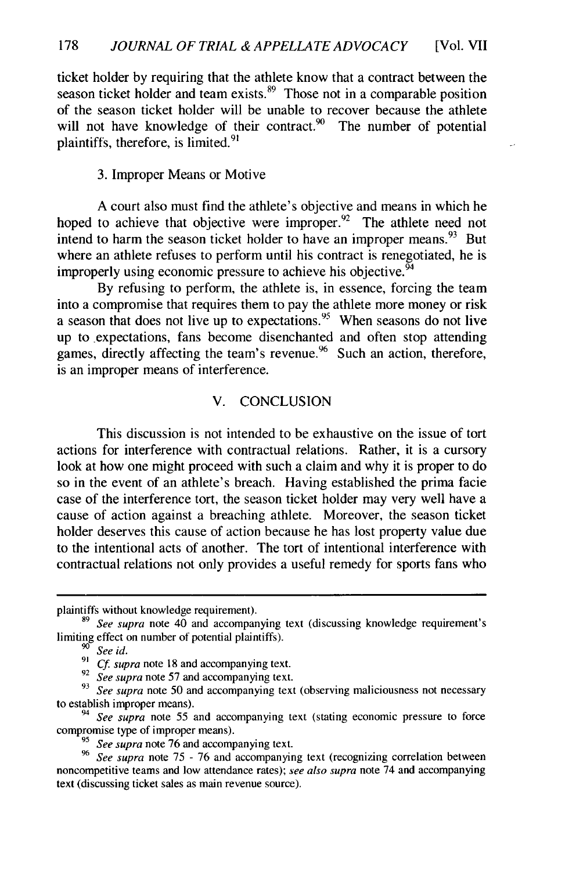ticket holder by requiring that the athlete know that a contract between the season ticket holder and team exists.<sup>89</sup> Those not in a comparable position of the season ticket holder will be unable to recover because the athlete will not have knowledge of their contract.<sup>90</sup> The number of potential plaintiffs, therefore, is limited.<sup>9</sup>

#### 3. Improper Means or Motive

A court also must find the athlete's objective and means in which he hoped to achieve that objective were improper.  $92$  The athlete need not intend to harm the season ticket holder to have an improper means.<sup>93</sup> But where an athlete refuses to perform until his contract is renegotiated, he is improperly using economic pressure to achieve his objective.  $94$ 

By refusing to perform, the athlete is, in essence, forcing the team into a compromise that requires them to pay the athlete more money or risk a season that does not live up to expectations.<sup>95</sup> When seasons do not live up to .expectations, fans become disenchanted and often stop attending games, directly affecting the team's revenue. <sup>96</sup> Such an action, therefore, is an improper means of interference.

#### V. CONCLUSION

This discussion is not intended to be exhaustive on the issue of tort actions for interference with contractual relations. Rather, it is a cursory look at how one might proceed with such a claim and why it is proper to do so in the event of an athlete's breach. Having established the prima facie case of the interference tort, the season ticket holder may very well have a cause of action against a breaching athlete. Moreover, the season ticket holder deserves this cause of action because he has lost property value due to the intentional acts of another. The tort of intentional interference with contractual relations not only provides a useful remedy for sports fans who

<sup>92</sup> See supra note 57 and accompanying text.

plaintiffs without knowledge requirement).

**<sup>89</sup>***See* supra note 40 and accompanying text (discussing knowledge requirement's limiting effect on number of potential plaintiffs).

**<sup>9</sup>***See id. 91 Cf supra* note 18 and accompanying text.

<sup>&</sup>lt;sup>93</sup> See supra note 50 and accompanying text (observing maliciousness not necessary to establish improper means).

*<sup>94</sup>See supra* note 55 and accompanying text (stating economic pressure to force compromise type of improper means).

*<sup>95</sup>See supra* note 76 and accompanying text.

<sup>&</sup>lt;sup>96</sup> See supra note 75 - 76 and accompanying text (recognizing correlation between noncompetitive teams and low attendance rates); *see also supra* note 74 and accompanying text (discussing ticket sales as main revenue source).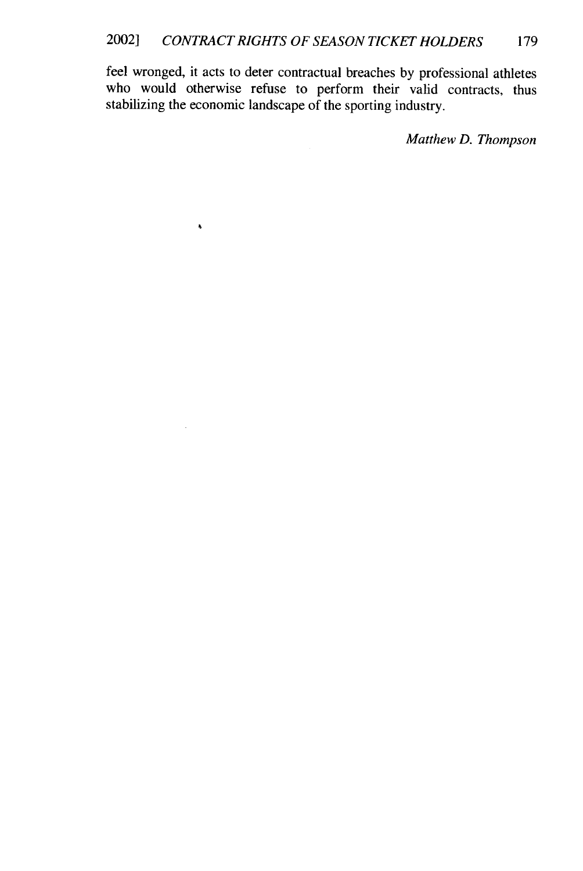feel wronged, it acts to deter contractual breaches by professional athletes who would otherwise refuse to perform their valid contracts, thus stabilizing the economic landscape of the sporting industry.

 $\bar{\bullet}$ 

 $\mathcal{L}$ 

*Matthew D. Thompson*